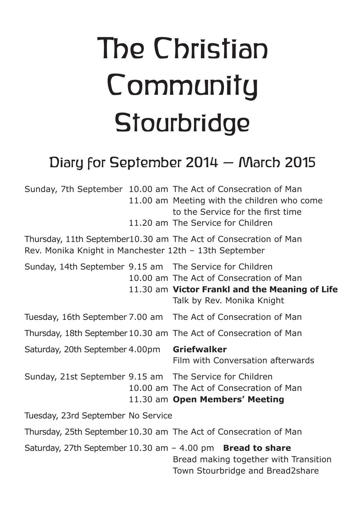# The Christian **Community Stourbridge**

## Diary for September 2014 – March 2015

|                                                        |  | Sunday, 7th September 10.00 am The Act of Consecration of Man<br>11.00 am Meeting with the children who come<br>to the Service for the first time<br>11.20 am The Service for Children |
|--------------------------------------------------------|--|----------------------------------------------------------------------------------------------------------------------------------------------------------------------------------------|
| Rev. Monika Knight in Manchester 12th - 13th September |  | Thursday, 11th September10.30 am The Act of Consecration of Man                                                                                                                        |
|                                                        |  | Sunday, 14th September 9.15 am The Service for Children<br>10.00 am The Act of Consecration of Man<br>11.30 am Victor Frankl and the Meaning of Life<br>Talk by Rev. Monika Knight     |
|                                                        |  | Tuesday, 16th September 7.00 am The Act of Consecration of Man                                                                                                                         |
|                                                        |  | Thursday, 18th September 10.30 am The Act of Consecration of Man                                                                                                                       |
| Saturday, 20th September 4.00pm                        |  | <b>Griefwalker</b><br>Film with Conversation afterwards                                                                                                                                |
|                                                        |  | Sunday, 21st September 9.15 am The Service for Children<br>10.00 am The Act of Consecration of Man<br>11.30 am Open Members' Meeting                                                   |
| Tuesday, 23rd September No Service                     |  |                                                                                                                                                                                        |
|                                                        |  | Thursday, 25th September 10.30 am The Act of Consecration of Man                                                                                                                       |
|                                                        |  | Saturday, 27th September 10.30 am $-$ 4.00 pm Bread to share<br>Bread making together with Transition<br>Town Stourbridge and Bread2share                                              |
|                                                        |  |                                                                                                                                                                                        |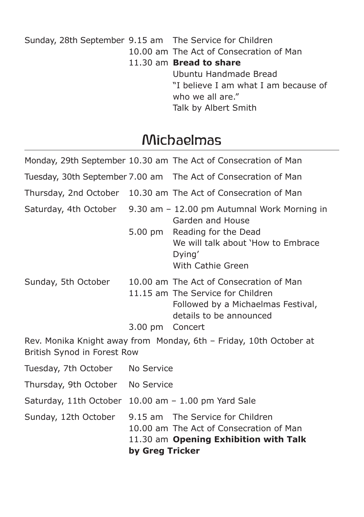Sunday, 28th September 9.15 am The Service for Children 10.00 am The Act of Consecration of Man 11.30 am **Bread to share** Ubuntu Handmade Bread "I believe I am what I am because of who we all are." Talk by Albert Smith

### Michaelmas

|                             |                                                     | Monday, 29th September 10.30 am The Act of Consecration of Man                                                                                |  |
|-----------------------------|-----------------------------------------------------|-----------------------------------------------------------------------------------------------------------------------------------------------|--|
|                             |                                                     | Tuesday, 30th September 7.00 am  The Act of Consecration of Man                                                                               |  |
|                             |                                                     | Thursday, 2nd October 10.30 am The Act of Consecration of Man                                                                                 |  |
|                             |                                                     | Saturday, 4th October 9.30 am - 12.00 pm Autumnal Work Morning in<br>Garden and House                                                         |  |
|                             | 5.00 pm                                             | Reading for the Dead<br>We will talk about 'How to Embrace<br>Dying'<br>With Cathie Green                                                     |  |
| Sunday, 5th October         | 3.00 pm Concert                                     | 10.00 am The Act of Consecration of Man<br>11.15 am The Service for Children<br>Followed by a Michaelmas Festival,<br>details to be announced |  |
| British Synod in Forest Row |                                                     | Rev. Monika Knight away from Monday, 6th - Friday, 10th October at                                                                            |  |
| Tuesday, 7th October        | No Service                                          |                                                                                                                                               |  |
| Thursday, 9th October       | No Service                                          |                                                                                                                                               |  |
|                             | Saturday, 11th October 10.00 am - 1.00 pm Yard Sale |                                                                                                                                               |  |
| Sunday, 12th October        | by Greg Tricker                                     | 9.15 am The Service for Children<br>10.00 am The Act of Consecration of Man<br>11.30 am Opening Exhibition with Talk                          |  |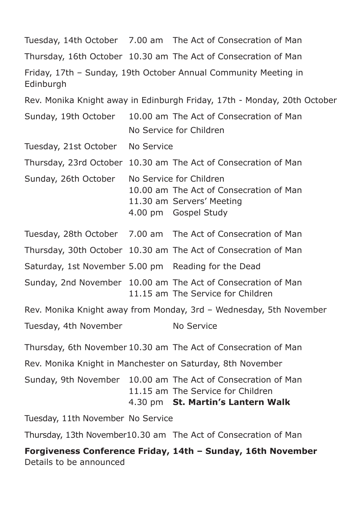Tuesday, 14th October 7.00 am The Act of Consecration of Man Thursday, 16th October 10.30 am The Act of Consecration of Man Friday, 17th – Sunday, 19th October Annual Community Meeting in **Edinburgh** Rev. Monika Knight away in Edinburgh Friday, 17th - Monday, 20th October Sunday, 19th October 10.00 am The Act of Consecration of Man No Service for Children Tuesday, 21st October No Service Thursday, 23rd October 10.30 am The Act of Consecration of Man Sunday, 26th October No Service for Children 10.00 am The Act of Consecration of Man 11.30 am Servers' Meeting 4.00 pm Gospel Study Tuesday, 28th October 7.00 am The Act of Consecration of Man Thursday, 30th October 10.30 am The Act of Consecration of Man Saturday, 1st November 5.00 pm Reading for the Dead Sunday, 2nd November 10.00 am The Act of Consecration of Man 11.15 am The Service for Children Rev. Monika Knight away from Monday, 3rd – Wednesday, 5th November Tuesday, 4th November No Service Thursday, 6th November 10.30 am The Act of Consecration of Man Rev. Monika Knight in Manchester on Saturday, 8th November Sunday, 9th November 10.00 am The Act of Consecration of Man 11.15 am The Service for Children 4.30 pm **St. Martin's Lantern Walk** Tuesday, 11th November No Service Thursday, 13th November10.30 am The Act of Consecration of Man **Forgiveness Conference Friday, 14th – Sunday, 16th November** Details to be announced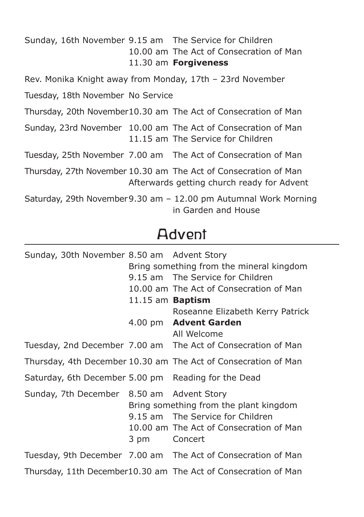Sunday, 16th November 9.15 am The Service for Children 10.00 am The Act of Consecration of Man 11.30 am **Forgiveness**

Rev. Monika Knight away from Monday, 17th – 23rd November

Tuesday, 18th November No Service

Thursday, 20th November10.30 am The Act of Consecration of Man

Sunday, 23rd November 10.00 am The Act of Consecration of Man 11.15 am The Service for Children

Tuesday, 25th November 7.00 am The Act of Consecration of Man

Thursday, 27th November 10.30 am The Act of Consecration of Man Afterwards getting church ready for Advent

Saturday, 29th November9.30 am – 12.00 pm Autumnal Work Morning in Garden and House

## Advent

| Sunday, 30th November 8.50 am Advent Story          |                         |                                                                                                                       |
|-----------------------------------------------------|-------------------------|-----------------------------------------------------------------------------------------------------------------------|
|                                                     |                         | Bring something from the mineral kingdom                                                                              |
|                                                     |                         | 9.15 am The Service for Children                                                                                      |
|                                                     |                         | 10.00 am The Act of Consecration of Man                                                                               |
|                                                     | 11.15 am <b>Baptism</b> |                                                                                                                       |
|                                                     |                         | Roseanne Elizabeth Kerry Patrick                                                                                      |
|                                                     |                         | 4.00 pm Advent Garden<br>All Welcome                                                                                  |
|                                                     |                         | Tuesday, 2nd December 7.00 am The Act of Consecration of Man                                                          |
|                                                     |                         | Thursday, 4th December 10.30 am The Act of Consecration of Man                                                        |
| Saturday, 6th December 5.00 pm Reading for the Dead |                         |                                                                                                                       |
| Sunday, 7th December 8.50 am Advent Story           | 3 pm Concert            | Bring something from the plant kingdom<br>9.15 am The Service for Children<br>10.00 am The Act of Consecration of Man |
|                                                     |                         | Tuesday, 9th December 7.00 am The Act of Consecration of Man                                                          |
|                                                     |                         | Thursday, 11th December10.30 am The Act of Consecration of Man                                                        |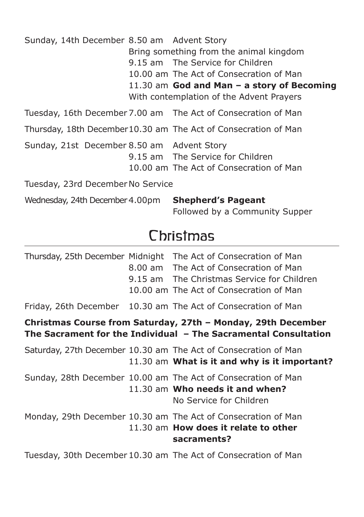| Sunday, 14th December 8.50 am Advent Story |  | Bring something from the animal kingdom<br>9.15 am The Service for Children<br>10.00 am The Act of Consecration of Man<br>11.30 am God and Man $-$ a story of Becoming<br>With contemplation of the Advent Prayers |  |
|--------------------------------------------|--|--------------------------------------------------------------------------------------------------------------------------------------------------------------------------------------------------------------------|--|
|                                            |  | Tuesday, 16th December 7.00 am  The Act of Consecration of Man                                                                                                                                                     |  |
|                                            |  | Thursday, 18th December10.30 am The Act of Consecration of Man                                                                                                                                                     |  |
| Sunday, 21st December 8.50 am Advent Story |  | 9.15 am The Service for Children<br>10.00 am The Act of Consecration of Man                                                                                                                                        |  |
| Tuesday, 23rd December No Service          |  |                                                                                                                                                                                                                    |  |
| Wednesday, 24th December 4.00pm            |  | <b>Shepherd's Pageant</b><br>Followed by a Community Supper                                                                                                                                                        |  |

## **Christmas**

|  | Thursday, 25th December Midnight The Act of Consecration of Man<br>8.00 am The Act of Consecration of Man<br>9.15 am The Christmas Service for Children<br>10.00 am The Act of Consecration of Man |
|--|----------------------------------------------------------------------------------------------------------------------------------------------------------------------------------------------------|
|  | Friday, 26th December 10.30 am The Act of Consecration of Man                                                                                                                                      |
|  | Christmas Course from Saturday, 27th - Monday, 29th December<br>The Sacrament for the Individual - The Sacramental Consultation                                                                    |
|  | Saturday, 27th December 10.30 am The Act of Consecration of Man<br>11.30 am What is it and why is it important?                                                                                    |
|  | Sunday, 28th December 10.00 am The Act of Consecration of Man<br>11.30 am Who needs it and when?<br>No Service for Children                                                                        |
|  | Monday, 29th December 10.30 am The Act of Consecration of Man<br>11.30 am How does it relate to other<br>sacraments?                                                                               |
|  | Tuesday, 30th December 10.30 am The Act of Consecration of Man                                                                                                                                     |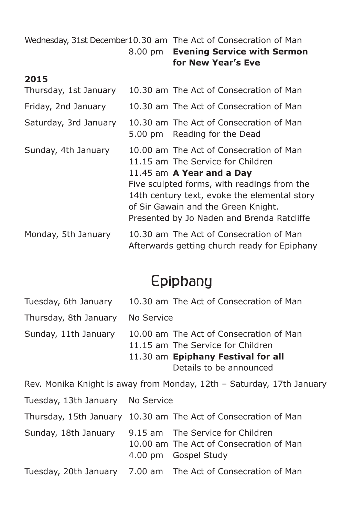Wednesday, 31st December10.30 am The Act of Consecration of Man 8.00 pm **Evening Service with Sermon for New Year's Eve**

#### **2015**

| Thursday, 1st January | 10.30 am The Act of Consecration of Man                                                                                                                                                                                                                                                         |
|-----------------------|-------------------------------------------------------------------------------------------------------------------------------------------------------------------------------------------------------------------------------------------------------------------------------------------------|
| Friday, 2nd January   | 10.30 am The Act of Consecration of Man                                                                                                                                                                                                                                                         |
| Saturday, 3rd January | 10.30 am The Act of Consecration of Man<br>5.00 pm Reading for the Dead                                                                                                                                                                                                                         |
| Sunday, 4th January   | 10.00 am The Act of Consecration of Man<br>11.15 am The Service for Children<br>11.45 am $A$ Year and a Day<br>Five sculpted forms, with readings from the<br>14th century text, evoke the elemental story<br>of Sir Gawain and the Green Knight.<br>Presented by Jo Naden and Brenda Ratcliffe |
| Monday, 5th January   | 10.30 am The Act of Consecration of Man<br>Afterwards getting church ready for Epiphany                                                                                                                                                                                                         |

## Epiphany

| Tuesday, 6th January                                                  |            | 10.30 am The Act of Consecration of Man                                                                                                       |  |
|-----------------------------------------------------------------------|------------|-----------------------------------------------------------------------------------------------------------------------------------------------|--|
| Thursday, 8th January                                                 | No Service |                                                                                                                                               |  |
| Sunday, 11th January                                                  |            | 10.00 am The Act of Consecration of Man<br>11.15 am The Service for Children<br>11.30 am Epiphany Festival for all<br>Details to be announced |  |
| Rev. Monika Knight is away from Monday, 12th - Saturday, 17th January |            |                                                                                                                                               |  |
| Tuesday, 13th January                                                 | No Service |                                                                                                                                               |  |
| Thursday, 15th January                                                |            | 10.30 am The Act of Consecration of Man                                                                                                       |  |
| Sunday, 18th January                                                  |            | 9.15 am The Service for Children<br>10.00 am The Act of Consecration of Man<br>4.00 pm Gospel Study                                           |  |
| Tuesday, 20th January                                                 |            | 7.00 am The Act of Consecration of Man                                                                                                        |  |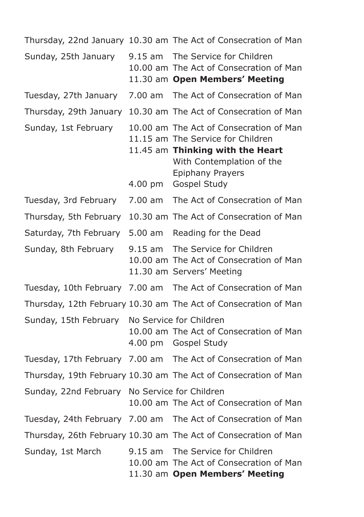Thursday, 22nd January 10.30 am The Act of Consecration of Man Sunday, 25th January 9.15 am The Service for Children 10.00 am The Act of Consecration of Man 11.30 am **Open Members' Meeting** Tuesday, 27th January 7.00 am The Act of Consecration of Man Thursday, 29th January 10.30 am The Act of Consecration of Man Sunday, 1st February 10.00 am The Act of Consecration of Man 11.15 am The Service for Children 11.45 am **Thinking with the Heart** With Contemplation of the Epiphany Prayers 4.00 pm Gospel Study Tuesday, 3rd February 7.00 am The Act of Consecration of Man Thursday, 5th February 10.30 am The Act of Consecration of Man Saturday, 7th February 5.00 am Reading for the Dead Sunday, 8th February 9.15 am The Service for Children 10.00 am The Act of Consecration of Man 11.30 am Servers' Meeting Tuesday, 10th February 7.00 am The Act of Consecration of Man Thursday, 12th February 10.30 am The Act of Consecration of Man Sunday, 15th February No Service for Children 10.00 am The Act of Consecration of Man 4.00 pm Gospel Study Tuesday, 17th February 7.00 am The Act of Consecration of Man Thursday, 19th February 10.30 am The Act of Consecration of Man Sunday, 22nd February No Service for Children 10.00 am The Act of Consecration of Man Tuesday, 24th February 7.00 am The Act of Consecration of Man Thursday, 26th February 10.30 am The Act of Consecration of Man Sunday, 1st March 9.15 am The Service for Children 10.00 am The Act of Consecration of Man 11.30 am **Open Members' Meeting**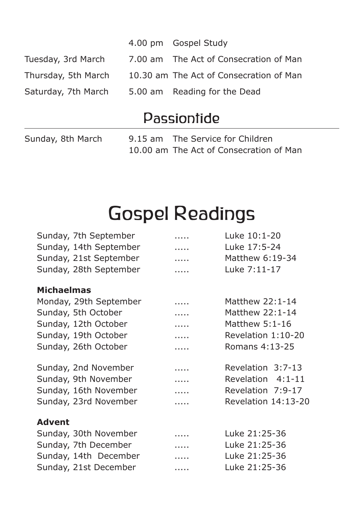|                     | 4.00 pm Gospel Study                    |
|---------------------|-----------------------------------------|
| Tuesday, 3rd March  | 7.00 am The Act of Consecration of Man  |
| Thursday, 5th March | 10.30 am The Act of Consecration of Man |
| Saturday, 7th March | 5.00 am Reading for the Dead            |

## Passiontide

Sunday, 8th March 9.15 am The Service for Children 10.00 am The Act of Consecration of Man

## Gospel Readings

| Sunday, 7th September  | . | Luke 10:1-20        |
|------------------------|---|---------------------|
| Sunday, 14th September | . | Luke 17:5-24        |
| Sunday, 21st September | . | Matthew 6:19-34     |
| Sunday, 28th September | . | Luke 7:11-17        |
| <b>Michaelmas</b>      |   |                     |
| Monday, 29th September | . | Matthew 22:1-14     |
| Sunday, 5th October    | . | Matthew 22:1-14     |
| Sunday, 12th October   | . | Matthew 5:1-16      |
| Sunday, 19th October   | . | Revelation 1:10-20  |
| Sunday, 26th October   | . | Romans 4:13-25      |
| Sunday, 2nd November   | . | Revelation 3:7-13   |
| Sunday, 9th November   | . | Revelation 4:1-11   |
| Sunday, 16th November  | . | Revelation 7:9-17   |
| Sunday, 23rd November  | . | Revelation 14:13-20 |
| <b>Advent</b>          |   |                     |
| Sunday, 30th November  | . | Luke 21:25-36       |
| Sunday, 7th December   | . | Luke 21:25-36       |
| Sunday, 14th December  | . | Luke 21:25-36       |
| Sunday, 21st December  | . | Luke 21:25-36       |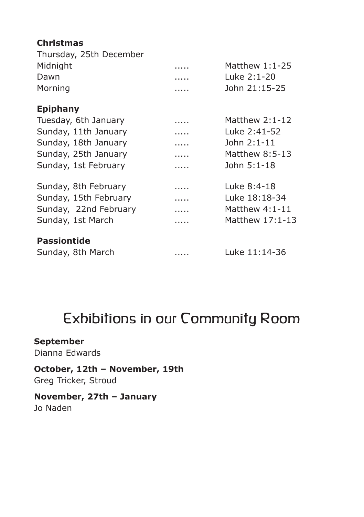#### **Christmas**

| Thursday, 25th December |   |                  |
|-------------------------|---|------------------|
| Midnight                | . | Matthew $1:1-25$ |
| Dawn                    | . | Luke 2:1-20      |
| Morning                 | . | John 21:15-25    |
| <b>Epiphany</b>         |   |                  |
| Tuesday, 6th January    | . | Matthew $2:1-12$ |
| Sunday, 11th January    | . | Luke 2:41-52     |
| Sunday, 18th January    | . | John 2:1-11      |
| Sunday, 25th January    | . | Matthew 8:5-13   |
| Sunday, 1st February    | . | John 5:1-18      |
| Sunday, 8th February    | . | Luke 8:4-18      |
| Sunday, 15th February   | . | Luke 18:18-34    |
| Sunday, 22nd February   | . | Matthew $4:1-11$ |
| Sunday, 1st March       |   | Matthew 17:1-13  |
| <b>Passiontide</b>      |   |                  |
| Sunday, 8th March       | . | Luke 11:14-36    |

## Exhibitions in our Community Room

#### **September**

Dianna Edwards

#### **October, 12th – November, 19th** Greg Tricker, Stroud

#### **November, 27th – January** Jo Naden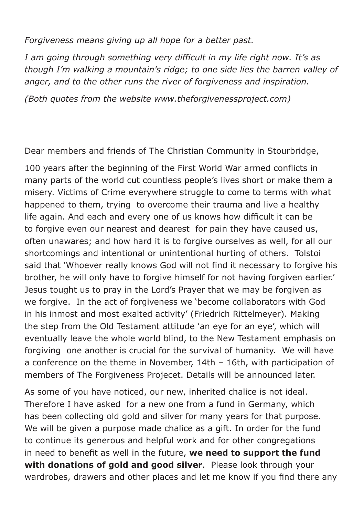*Forgiveness means giving up all hope for a better past.*

*I am going through something very difficult in my life right now. It's as though I'm walking a mountain's ridge; to one side lies the barren valley of anger, and to the other runs the river of forgiveness and inspiration.*

*(Both quotes from the website www.theforgivenessproject.com)*

Dear members and friends of The Christian Community in Stourbridge,

100 years after the beginning of the First World War armed conflicts in many parts of the world cut countless people's lives short or make them a misery. Victims of Crime everywhere struggle to come to terms with what happened to them, trying to overcome their trauma and live a healthy life again. And each and every one of us knows how difficult it can be to forgive even our nearest and dearest for pain they have caused us, often unawares; and how hard it is to forgive ourselves as well, for all our shortcomings and intentional or unintentional hurting of others. Tolstoi said that 'Whoever really knows God will not find it necessary to forgive his brother, he will only have to forgive himself for not having forgiven earlier.' Jesus tought us to pray in the Lord's Prayer that we may be forgiven as we forgive. In the act of forgiveness we 'become collaborators with God in his inmost and most exalted activity' (Friedrich Rittelmeyer). Making the step from the Old Testament attitude 'an eye for an eye', which will eventually leave the whole world blind, to the New Testament emphasis on forgiving one another is crucial for the survival of humanity. We will have a conference on the theme in November, 14th – 16th, with participation of members of The Forgiveness Projecet. Details will be announced later.

As some of you have noticed, our new, inherited chalice is not ideal. Therefore I have asked for a new one from a fund in Germany, which has been collecting old gold and silver for many years for that purpose. We will be given a purpose made chalice as a gift. In order for the fund to continue its generous and helpful work and for other congregations in need to benefit as well in the future, **we need to support the fund with donations of gold and good silver**. Please look through your wardrobes, drawers and other places and let me know if you find there any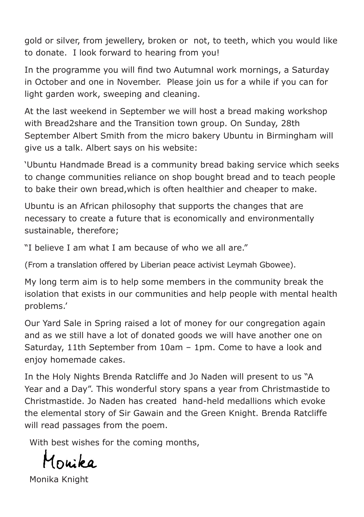gold or silver, from jewellery, broken or not, to teeth, which you would like to donate. I look forward to hearing from you!

In the programme you will find two Autumnal work mornings, a Saturday in October and one in November. Please join us for a while if you can for light garden work, sweeping and cleaning.

At the last weekend in September we will host a bread making workshop with Bread2share and the Transition town group. On Sunday, 28th September Albert Smith from the micro bakery Ubuntu in Birmingham will give us a talk. Albert says on his website:

'Ubuntu Handmade Bread is a community bread baking service which seeks to change communities reliance on shop bought bread and to teach people to bake their own bread,which is often healthier and cheaper to make.

Ubuntu is an African philosophy that supports the changes that are necessary to create a future that is economically and environmentally sustainable, therefore;

"I believe I am what I am because of who we all are."

(From a translation offered by Liberian peace activist Leymah Gbowee).

My long term aim is to help some members in the community break the isolation that exists in our communities and help people with mental health problems.'

Our Yard Sale in Spring raised a lot of money for our congregation again and as we still have a lot of donated goods we will have another one on Saturday, 11th September from 10am – 1pm. Come to have a look and enjoy homemade cakes.

In the Holy Nights Brenda Ratcliffe and Jo Naden will present to us "A Year and a Day". This wonderful story spans a year from Christmastide to Christmastide. Jo Naden has created hand-held medallions which evoke the elemental story of Sir Gawain and the Green Knight. Brenda Ratcliffe will read passages from the poem.

With best wishes for the comina months,

Inuika

Monika Knight